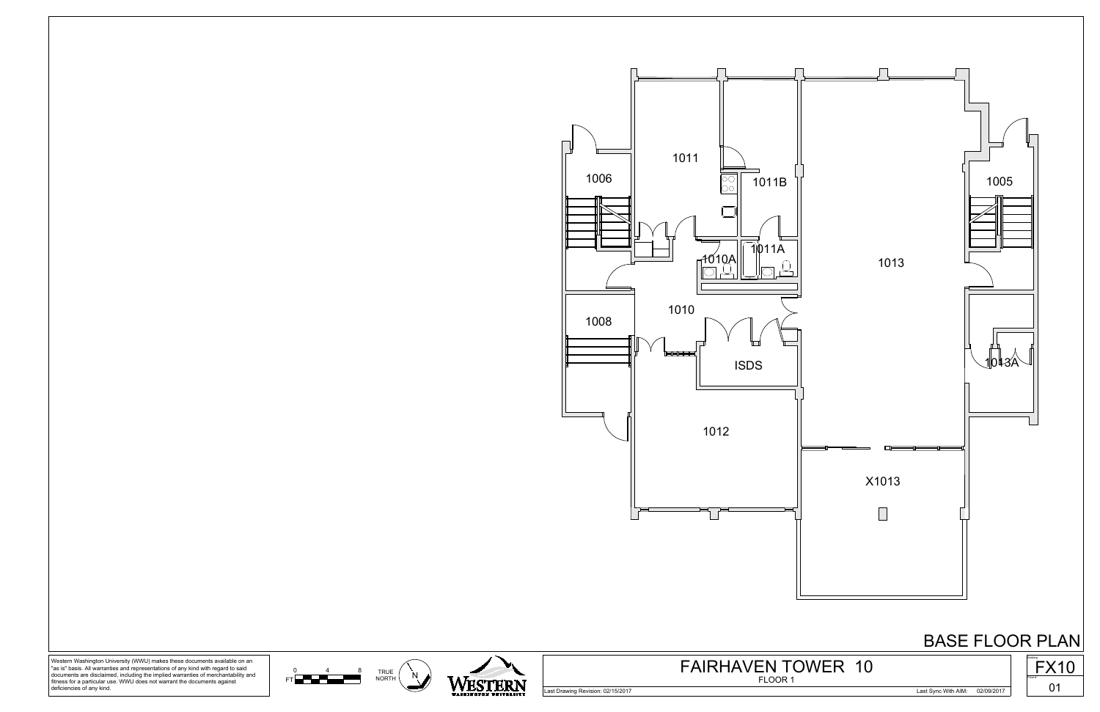

<sup>0</sup> <sup>4</sup> <sup>8</sup> TRUE N<br>FT **NORTH NORTH** NORTH

0 4 8 TRI



Western Washington University (WWU) makes these documents available on an "as is" basis. All warranties and representations of any kind with regard to said documents are disclaimed, including the implied warranties of merchantability and fitness for a particular use. WWU does not warrant the documents against deficiencies of any kind.

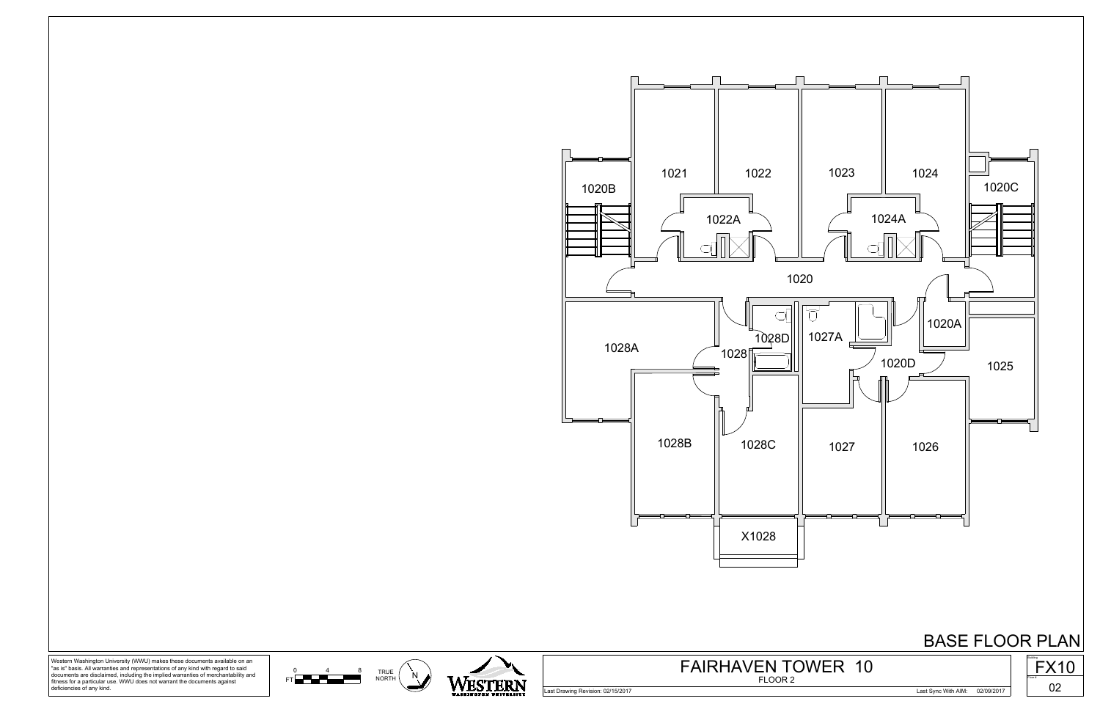





Western Washington University (WWU) makes these documents available on an "as is" basis. All warranties and representations of any kind with regard to said documents are disclaimed, including the implied warranties of merchantability and fitness for a particular use. WWU does not warrant the documents against deficiencies of any kind.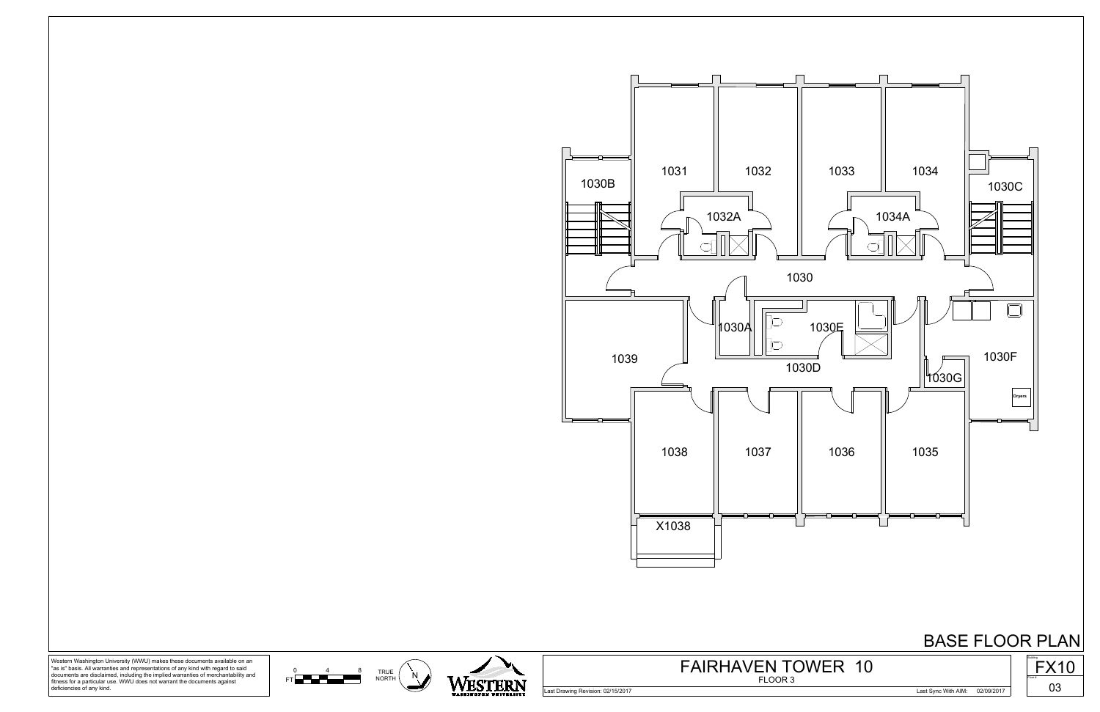











<sup>0</sup> <sup>4</sup> <sup>8</sup> TRUE N<br>FT **NORTH NORTH** NORTH 0 4 8 TRI



Western Washington University (WWU) makes these documents available on an "as is" basis. All warranties and representations of any kind with regard to said documents are disclaimed, including the implied warranties of merchantability and fitness for a particular use. WWU does not warrant the documents against deficiencies of any kind.